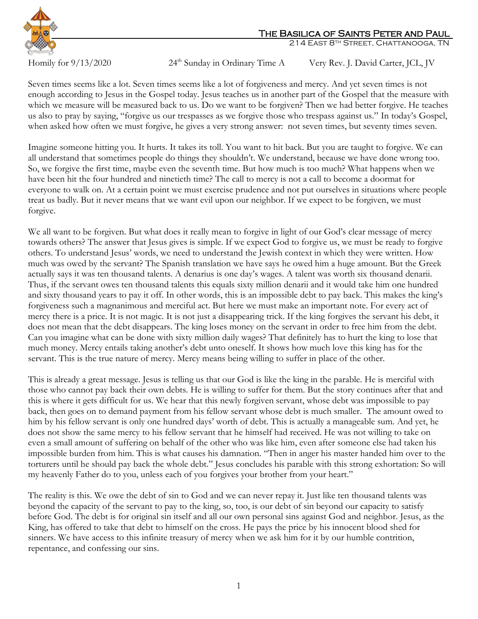

## The Basilica of Saints Peter and Paul

214 East 8th Street, Chattanooga, TN

Homily for  $9/13/2020$ 

24<sup>th</sup> Sunday in Ordinary Time A Very Rev. J. David Carter, JCL, JV

Seven times seems like a lot. Seven times seems like a lot of forgiveness and mercy. And yet seven times is not enough according to Jesus in the Gospel today. Jesus teaches us in another part of the Gospel that the measure with which we measure will be measured back to us. Do we want to be forgiven? Then we had better forgive. He teaches us also to pray by saying, "forgive us our trespasses as we forgive those who trespass against us." In today's Gospel, when asked how often we must forgive, he gives a very strong answer: not seven times, but seventy times seven.

Imagine someone hitting you. It hurts. It takes its toll. You want to hit back. But you are taught to forgive. We can all understand that sometimes people do things they shouldn't. We understand, because we have done wrong too. So, we forgive the first time, maybe even the seventh time. But how much is too much? What happens when we have been hit the four hundred and ninetieth time? The call to mercy is not a call to become a doormat for everyone to walk on. At a certain point we must exercise prudence and not put ourselves in situations where people treat us badly. But it never means that we want evil upon our neighbor. If we expect to be forgiven, we must forgive.

We all want to be forgiven. But what does it really mean to forgive in light of our God's clear message of mercy towards others? The answer that Jesus gives is simple. If we expect God to forgive us, we must be ready to forgive others. To understand Jesus' words, we need to understand the Jewish context in which they were written. How much was owed by the servant? The Spanish translation we have says he owed him a huge amount. But the Greek actually says it was ten thousand talents. A denarius is one day's wages. A talent was worth six thousand denarii. Thus, if the servant owes ten thousand talents this equals sixty million denarii and it would take him one hundred and sixty thousand years to pay it off. In other words, this is an impossible debt to pay back. This makes the king's forgiveness such a magnanimous and merciful act. But here we must make an important note. For every act of mercy there is a price. It is not magic. It is not just a disappearing trick. If the king forgives the servant his debt, it does not mean that the debt disappears. The king loses money on the servant in order to free him from the debt. Can you imagine what can be done with sixty million daily wages? That definitely has to hurt the king to lose that much money. Mercy entails taking another's debt unto oneself. It shows how much love this king has for the servant. This is the true nature of mercy. Mercy means being willing to suffer in place of the other.

This is already a great message. Jesus is telling us that our God is like the king in the parable. He is merciful with those who cannot pay back their own debts. He is willing to suffer for them. But the story continues after that and this is where it gets difficult for us. We hear that this newly forgiven servant, whose debt was impossible to pay back, then goes on to demand payment from his fellow servant whose debt is much smaller. The amount owed to him by his fellow servant is only one hundred days' worth of debt. This is actually a manageable sum. And yet, he does not show the same mercy to his fellow servant that he himself had received. He was not willing to take on even a small amount of suffering on behalf of the other who was like him, even after someone else had taken his impossible burden from him. This is what causes his damnation. "Then in anger his master handed him over to the torturers until he should pay back the whole debt." Jesus concludes his parable with this strong exhortation: So will my heavenly Father do to you, unless each of you forgives your brother from your heart."

The reality is this. We owe the debt of sin to God and we can never repay it. Just like ten thousand talents was beyond the capacity of the servant to pay to the king, so, too, is our debt of sin beyond our capacity to satisfy before God. The debt is for original sin itself and all our own personal sins against God and neighbor. Jesus, as the King, has offered to take that debt to himself on the cross. He pays the price by his innocent blood shed for sinners. We have access to this infinite treasury of mercy when we ask him for it by our humble contrition, repentance, and confessing our sins.